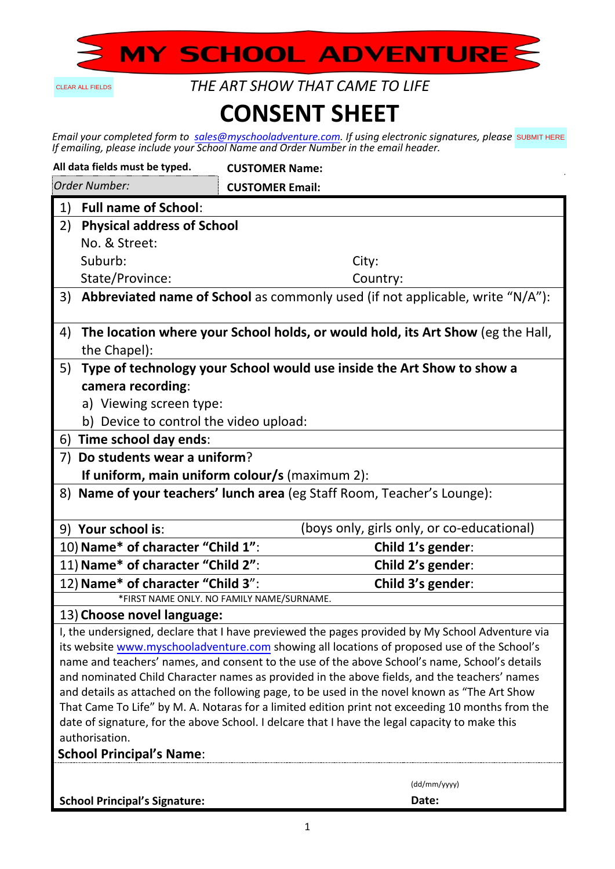

CLEAR ALL FIELDS

*THE ART SHOW THAT CAME TO LIFE*

## **CONSENT SHEET**

*Email your completed form to sales@myschooladventure.com. If using electronic signatures, please If emailing, please include your School Name and Order Number in the email header.* SUBMIT HERE

| All data fields must be typed.                                                                                                                                                               | <b>CUSTOMER Name:</b>                      |  |
|----------------------------------------------------------------------------------------------------------------------------------------------------------------------------------------------|--------------------------------------------|--|
| Order Number:                                                                                                                                                                                | <b>CUSTOMER Email:</b>                     |  |
| <b>Full name of School:</b><br>1)                                                                                                                                                            |                                            |  |
| 2)<br><b>Physical address of School</b>                                                                                                                                                      |                                            |  |
| No. & Street:                                                                                                                                                                                |                                            |  |
| Suburb:                                                                                                                                                                                      | City:                                      |  |
| State/Province:                                                                                                                                                                              | Country:                                   |  |
| Abbreviated name of School as commonly used (if not applicable, write "N/A"):<br>3)                                                                                                          |                                            |  |
| The location where your School holds, or would hold, its Art Show (eg the Hall,<br>4)                                                                                                        |                                            |  |
| the Chapel):                                                                                                                                                                                 |                                            |  |
| 5)<br>Type of technology your School would use inside the Art Show to show a                                                                                                                 |                                            |  |
| camera recording:                                                                                                                                                                            |                                            |  |
| a) Viewing screen type:                                                                                                                                                                      |                                            |  |
| b) Device to control the video upload:                                                                                                                                                       |                                            |  |
| 6) Time school day ends:                                                                                                                                                                     |                                            |  |
| Do students wear a uniform?<br>7)                                                                                                                                                            |                                            |  |
| If uniform, main uniform colour/s (maximum 2):                                                                                                                                               |                                            |  |
| 8) Name of your teachers' lunch area (eg Staff Room, Teacher's Lounge):                                                                                                                      |                                            |  |
| 9) Your school is:                                                                                                                                                                           | (boys only, girls only, or co-educational) |  |
| 10) Name* of character "Child 1":                                                                                                                                                            | Child 1's gender:                          |  |
| 11) Name* of character "Child 2":                                                                                                                                                            | Child 2's gender:                          |  |
| 12) Name* of character "Child 3":                                                                                                                                                            | Child 3's gender:                          |  |
| *FIRST NAME ONLY. NO FAMILY NAME/SURNAME.                                                                                                                                                    |                                            |  |
| 13) Choose novel language:                                                                                                                                                                   |                                            |  |
| I, the undersigned, declare that I have previewed the pages provided by My School Adventure via                                                                                              |                                            |  |
| its website www.myschooladventure.com showing all locations of proposed use of the School's<br>name and teachers' names, and consent to the use of the above School's name, School's details |                                            |  |
| and nominated Child Character names as provided in the above fields, and the teachers' names                                                                                                 |                                            |  |
| and details as attached on the following page, to be used in the novel known as "The Art Show                                                                                                |                                            |  |
| That Came To Life" by M. A. Notaras for a limited edition print not exceeding 10 months from the                                                                                             |                                            |  |
| date of signature, for the above School. I delcare that I have the legal capacity to make this                                                                                               |                                            |  |
| authorisation.                                                                                                                                                                               |                                            |  |
| <b>School Principal's Name:</b>                                                                                                                                                              |                                            |  |
|                                                                                                                                                                                              | (dd/mm/yyyy)                               |  |
| <b>School Principal's Signature:</b>                                                                                                                                                         | Date:                                      |  |